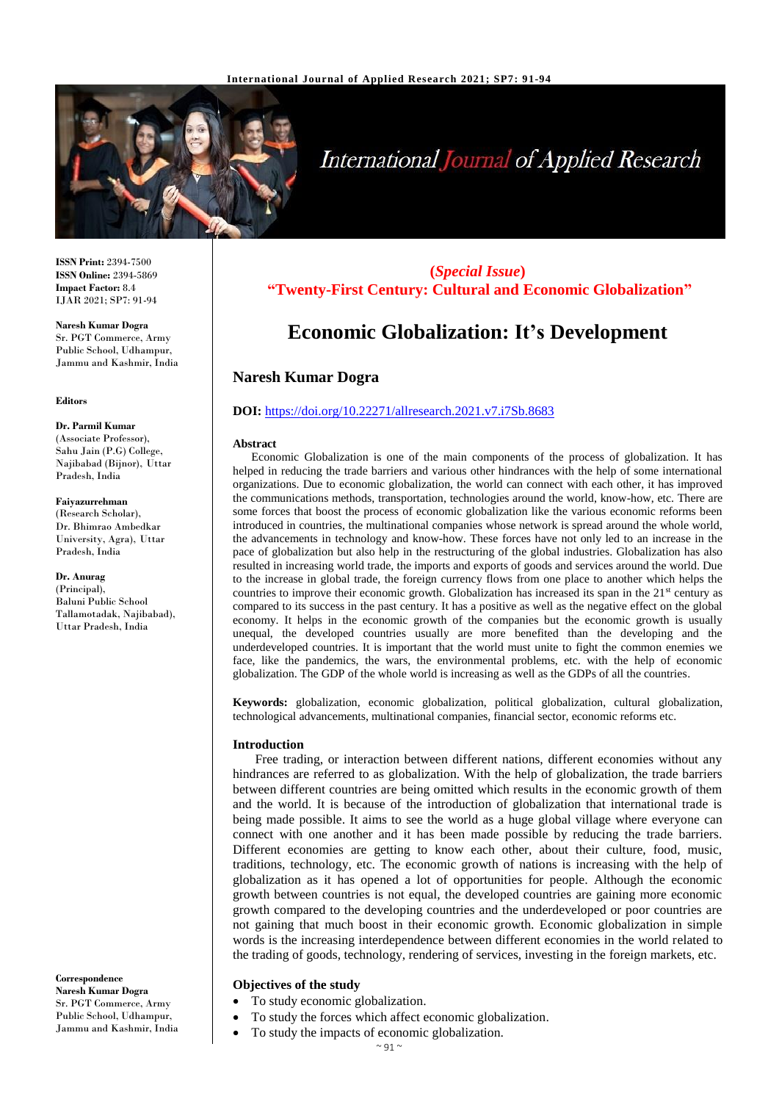

# **International Journal of Applied Research**

**ISSN Print:** 2394-7500 **ISSN Online:** 2394-5869 **Impact Factor:** 8.4 IJAR 2021; SP7: 91-94

**Naresh Kumar Dogra** Sr. PGT Commerce, Army Public School, Udhampur, Jammu and Kashmir, India

#### **Editors**

**Dr. Parmil Kumar** (Associate Professor), Sahu Jain (P.G) College, Najibabad (Bijnor), Uttar Pradesh, India

#### **Faiyazurrehman**

(Research Scholar), Dr. Bhimrao Ambedkar University, Agra), Uttar Pradesh, India

**Dr. Anurag** (Principal), Baluni Public School Tallamotadak, Najibabad), Uttar Pradesh, India

**Correspondence Naresh Kumar Dogra** Sr. PGT Commerce, Army Public School, Udhampur, Jammu and Kashmir, India

# **(***Special Issue***) "Twenty-First Century: Cultural and Economic Globalization"**

# **Economic Globalization: It's Development**

# **Naresh Kumar Dogra**

# **DOI:** <https://doi.org/10.22271/allresearch.2021.v7.i7Sb.8683>

#### **Abstract**

Economic Globalization is one of the main components of the process of globalization. It has helped in reducing the trade barriers and various other hindrances with the help of some international organizations. Due to economic globalization, the world can connect with each other, it has improved the communications methods, transportation, technologies around the world, know-how, etc. There are some forces that boost the process of economic globalization like the various economic reforms been introduced in countries, the multinational companies whose network is spread around the whole world, the advancements in technology and know-how. These forces have not only led to an increase in the pace of globalization but also help in the restructuring of the global industries. Globalization has also resulted in increasing world trade, the imports and exports of goods and services around the world. Due to the increase in global trade, the foreign currency flows from one place to another which helps the countries to improve their economic growth. Globalization has increased its span in the  $21<sup>st</sup>$  century as compared to its success in the past century. It has a positive as well as the negative effect on the global economy. It helps in the economic growth of the companies but the economic growth is usually unequal, the developed countries usually are more benefited than the developing and the underdeveloped countries. It is important that the world must unite to fight the common enemies we face, like the pandemics, the wars, the environmental problems, etc. with the help of economic globalization. The GDP of the whole world is increasing as well as the GDPs of all the countries.

**Keywords:** globalization, economic globalization, political globalization, cultural globalization, technological advancements, multinational companies, financial sector, economic reforms etc.

#### **Introduction**

Free trading, or interaction between different nations, different economies without any hindrances are referred to as globalization. With the help of globalization, the trade barriers between different countries are being omitted which results in the economic growth of them and the world. It is because of the introduction of globalization that international trade is being made possible. It aims to see the world as a huge global village where everyone can connect with one another and it has been made possible by reducing the trade barriers. Different economies are getting to know each other, about their culture, food, music, traditions, technology, etc. The economic growth of nations is increasing with the help of globalization as it has opened a lot of opportunities for people. Although the economic growth between countries is not equal, the developed countries are gaining more economic growth compared to the developing countries and the underdeveloped or poor countries are not gaining that much boost in their economic growth. Economic globalization in simple words is the increasing interdependence between different economies in the world related to the trading of goods, technology, rendering of services, investing in the foreign markets, etc.

# **Objectives of the study**

- To study economic globalization.
- To study the forces which affect economic globalization.
	- To study the impacts of economic globalization.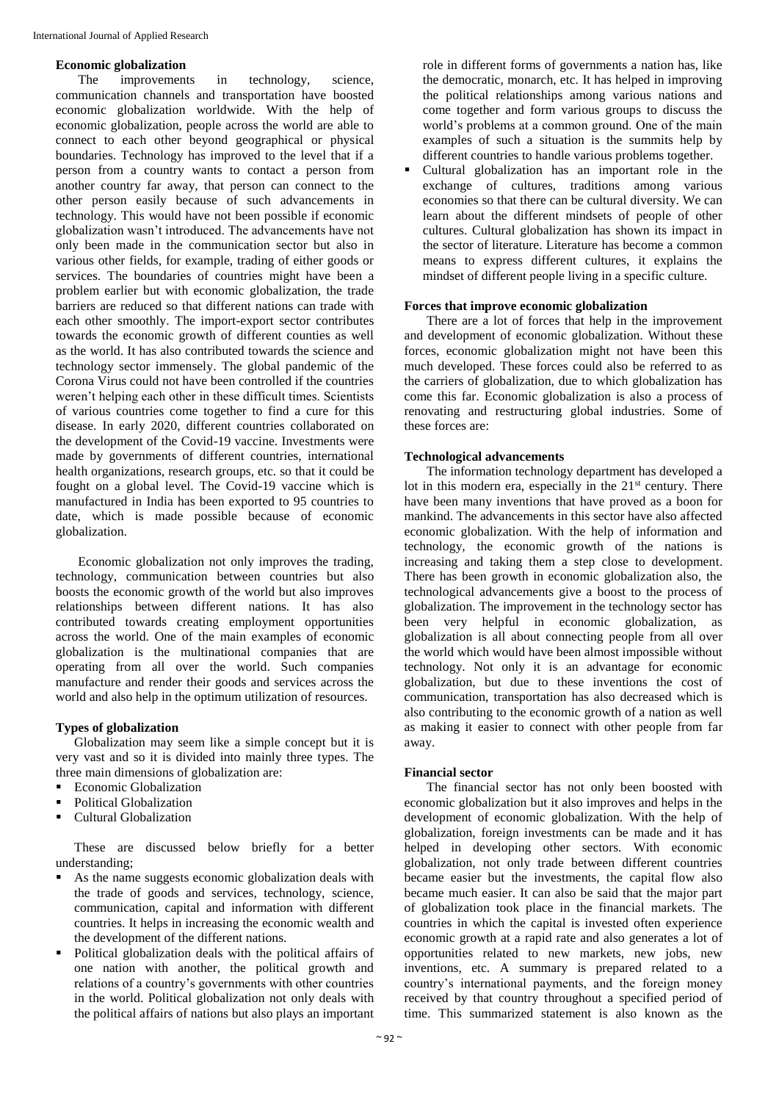#### **Economic globalization**

The improvements in technology, science, communication channels and transportation have boosted economic globalization worldwide. With the help of economic globalization, people across the world are able to connect to each other beyond geographical or physical boundaries. Technology has improved to the level that if a person from a country wants to contact a person from another country far away, that person can connect to the other person easily because of such advancements in technology. This would have not been possible if economic globalization wasn't introduced. The advancements have not only been made in the communication sector but also in various other fields, for example, trading of either goods or services. The boundaries of countries might have been a problem earlier but with economic globalization, the trade barriers are reduced so that different nations can trade with each other smoothly. The import-export sector contributes towards the economic growth of different counties as well as the world. It has also contributed towards the science and technology sector immensely. The global pandemic of the Corona Virus could not have been controlled if the countries weren't helping each other in these difficult times. Scientists of various countries come together to find a cure for this disease. In early 2020, different countries collaborated on the development of the Covid-19 vaccine. Investments were made by governments of different countries, international health organizations, research groups, etc. so that it could be fought on a global level. The Covid-19 vaccine which is manufactured in India has been exported to 95 countries to date, which is made possible because of economic globalization.

Economic globalization not only improves the trading, technology, communication between countries but also boosts the economic growth of the world but also improves relationships between different nations. It has also contributed towards creating employment opportunities across the world. One of the main examples of economic globalization is the multinational companies that are operating from all over the world. Such companies manufacture and render their goods and services across the world and also help in the optimum utilization of resources.

# **Types of globalization**

Globalization may seem like a simple concept but it is very vast and so it is divided into mainly three types. The three main dimensions of globalization are:

- Economic Globalization
- Political Globalization
- Cultural Globalization

These are discussed below briefly for a better understanding;

- As the name suggests economic globalization deals with the trade of goods and services, technology, science, communication, capital and information with different countries. It helps in increasing the economic wealth and the development of the different nations.
- Political globalization deals with the political affairs of one nation with another, the political growth and relations of a country's governments with other countries in the world. Political globalization not only deals with the political affairs of nations but also plays an important

role in different forms of governments a nation has, like the democratic, monarch, etc. It has helped in improving the political relationships among various nations and come together and form various groups to discuss the world's problems at a common ground. One of the main examples of such a situation is the summits help by different countries to handle various problems together.

 Cultural globalization has an important role in the exchange of cultures, traditions among various economies so that there can be cultural diversity. We can learn about the different mindsets of people of other cultures. Cultural globalization has shown its impact in the sector of literature. Literature has become a common means to express different cultures, it explains the mindset of different people living in a specific culture.

#### **Forces that improve economic globalization**

There are a lot of forces that help in the improvement and development of economic globalization. Without these forces, economic globalization might not have been this much developed. These forces could also be referred to as the carriers of globalization, due to which globalization has come this far. Economic globalization is also a process of renovating and restructuring global industries. Some of these forces are:

## **Technological advancements**

The information technology department has developed a lot in this modern era, especially in the 21<sup>st</sup> century. There have been many inventions that have proved as a boon for mankind. The advancements in this sector have also affected economic globalization. With the help of information and technology, the economic growth of the nations is increasing and taking them a step close to development. There has been growth in economic globalization also, the technological advancements give a boost to the process of globalization. The improvement in the technology sector has been very helpful in economic globalization, as globalization is all about connecting people from all over the world which would have been almost impossible without technology. Not only it is an advantage for economic globalization, but due to these inventions the cost of communication, transportation has also decreased which is also contributing to the economic growth of a nation as well as making it easier to connect with other people from far away.

#### **Financial sector**

The financial sector has not only been boosted with economic globalization but it also improves and helps in the development of economic globalization. With the help of globalization, foreign investments can be made and it has helped in developing other sectors. With economic globalization, not only trade between different countries became easier but the investments, the capital flow also became much easier. It can also be said that the major part of globalization took place in the financial markets. The countries in which the capital is invested often experience economic growth at a rapid rate and also generates a lot of opportunities related to new markets, new jobs, new inventions, etc. A summary is prepared related to a country's international payments, and the foreign money received by that country throughout a specified period of time. This summarized statement is also known as the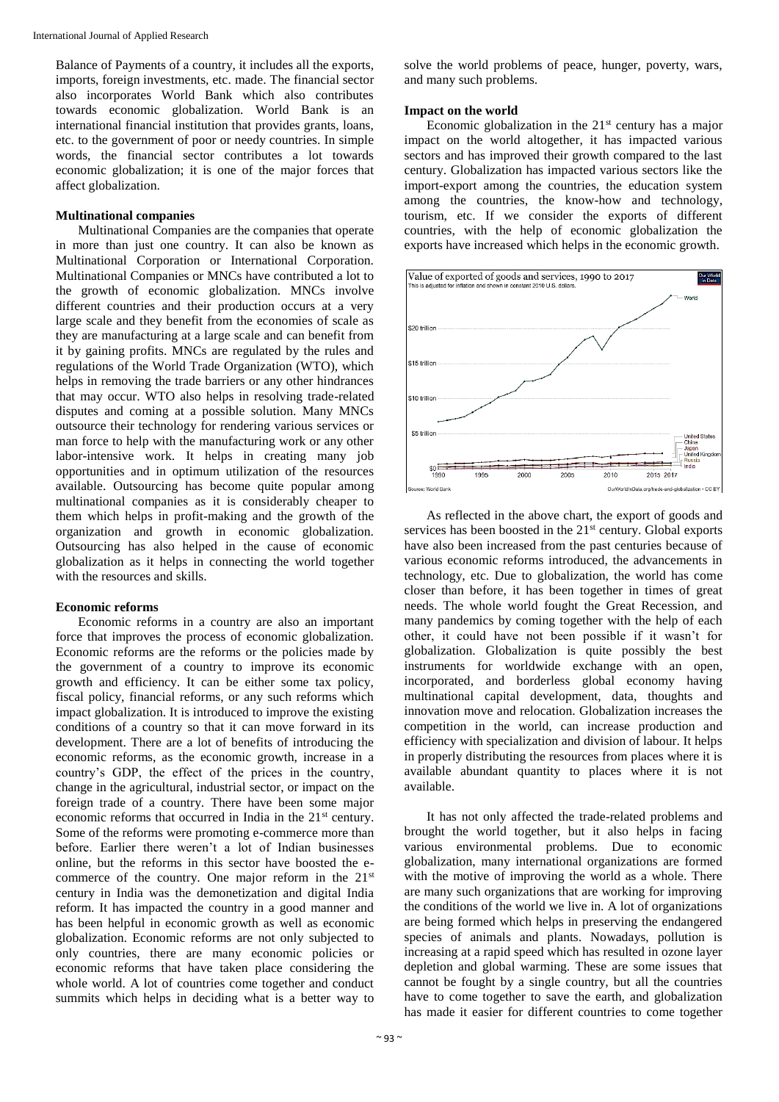Balance of Payments of a country, it includes all the exports, imports, foreign investments, etc. made. The financial sector also incorporates World Bank which also contributes towards economic globalization. World Bank is an international financial institution that provides grants, loans, etc. to the government of poor or needy countries. In simple words, the financial sector contributes a lot towards economic globalization; it is one of the major forces that affect globalization.

#### **Multinational companies**

Multinational Companies are the companies that operate in more than just one country. It can also be known as Multinational Corporation or International Corporation. Multinational Companies or MNCs have contributed a lot to the growth of economic globalization. MNCs involve different countries and their production occurs at a very large scale and they benefit from the economies of scale as they are manufacturing at a large scale and can benefit from it by gaining profits. MNCs are regulated by the rules and regulations of the World Trade Organization (WTO), which helps in removing the trade barriers or any other hindrances that may occur. WTO also helps in resolving trade-related disputes and coming at a possible solution. Many MNCs outsource their technology for rendering various services or man force to help with the manufacturing work or any other labor-intensive work. It helps in creating many job opportunities and in optimum utilization of the resources available. Outsourcing has become quite popular among multinational companies as it is considerably cheaper to them which helps in profit-making and the growth of the organization and growth in economic globalization. Outsourcing has also helped in the cause of economic globalization as it helps in connecting the world together with the resources and skills.

# **Economic reforms**

Economic reforms in a country are also an important force that improves the process of economic globalization. Economic reforms are the reforms or the policies made by the government of a country to improve its economic growth and efficiency. It can be either some tax policy, fiscal policy, financial reforms, or any such reforms which impact globalization. It is introduced to improve the existing conditions of a country so that it can move forward in its development. There are a lot of benefits of introducing the economic reforms, as the economic growth, increase in a country's GDP, the effect of the prices in the country, change in the agricultural, industrial sector, or impact on the foreign trade of a country. There have been some major economic reforms that occurred in India in the 21<sup>st</sup> century. Some of the reforms were promoting e-commerce more than before. Earlier there weren't a lot of Indian businesses online, but the reforms in this sector have boosted the ecommerce of the country. One major reform in the 21<sup>st</sup> century in India was the demonetization and digital India reform. It has impacted the country in a good manner and has been helpful in economic growth as well as economic globalization. Economic reforms are not only subjected to only countries, there are many economic policies or economic reforms that have taken place considering the whole world. A lot of countries come together and conduct summits which helps in deciding what is a better way to

solve the world problems of peace, hunger, poverty, wars, and many such problems.

#### **Impact on the world**

Economic globalization in the  $21<sup>st</sup>$  century has a major impact on the world altogether, it has impacted various sectors and has improved their growth compared to the last century. Globalization has impacted various sectors like the import-export among the countries, the education system among the countries, the know-how and technology, tourism, etc. If we consider the exports of different countries, with the help of economic globalization the exports have increased which helps in the economic growth.



As reflected in the above chart, the export of goods and services has been boosted in the  $21<sup>st</sup>$  century. Global exports have also been increased from the past centuries because of various economic reforms introduced, the advancements in technology, etc. Due to globalization, the world has come closer than before, it has been together in times of great needs. The whole world fought the Great Recession, and many pandemics by coming together with the help of each other, it could have not been possible if it wasn't for globalization. Globalization is quite possibly the best instruments for worldwide exchange with an open, incorporated, and borderless global economy having multinational capital development, data, thoughts and innovation move and relocation. Globalization increases the competition in the world, can increase production and efficiency with specialization and division of labour. It helps in properly distributing the resources from places where it is available abundant quantity to places where it is not available.

It has not only affected the trade-related problems and brought the world together, but it also helps in facing various environmental problems. Due to economic globalization, many international organizations are formed with the motive of improving the world as a whole. There are many such organizations that are working for improving the conditions of the world we live in. A lot of organizations are being formed which helps in preserving the endangered species of animals and plants. Nowadays, pollution is increasing at a rapid speed which has resulted in ozone layer depletion and global warming. These are some issues that cannot be fought by a single country, but all the countries have to come together to save the earth, and globalization has made it easier for different countries to come together